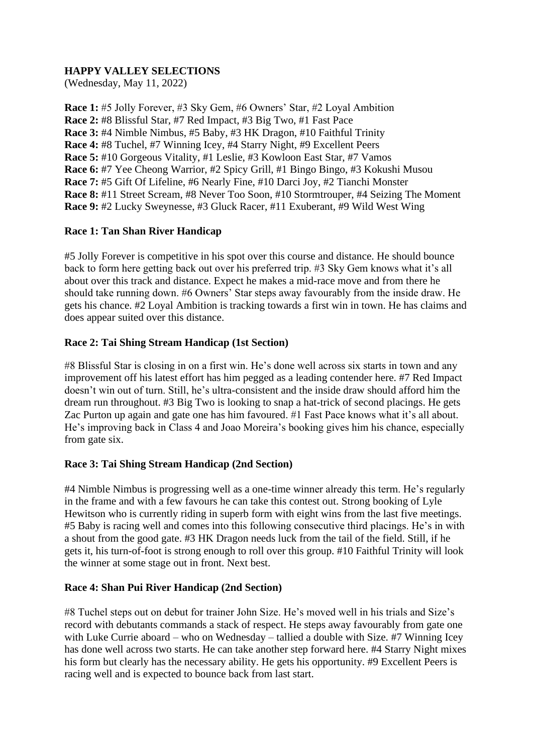# **HAPPY VALLEY SELECTIONS**

(Wednesday, May 11, 2022)

**Race 1:** #5 Jolly Forever, #3 Sky Gem, #6 Owners' Star, #2 Loyal Ambition **Race 2:** #8 Blissful Star, #7 Red Impact, #3 Big Two, #1 Fast Pace **Race 3:** #4 Nimble Nimbus, #5 Baby, #3 HK Dragon, #10 Faithful Trinity **Race 4:** #8 Tuchel, #7 Winning Icey, #4 Starry Night, #9 Excellent Peers **Race 5:** #10 Gorgeous Vitality, #1 Leslie, #3 Kowloon East Star, #7 Vamos **Race 6:** #7 Yee Cheong Warrior, #2 Spicy Grill, #1 Bingo Bingo, #3 Kokushi Musou **Race 7:** #5 Gift Of Lifeline, #6 Nearly Fine, #10 Darci Joy, #2 Tianchi Monster **Race 8:** #11 Street Scream, #8 Never Too Soon, #10 Stormtrouper, #4 Seizing The Moment **Race 9:** #2 Lucky Sweynesse, #3 Gluck Racer, #11 Exuberant, #9 Wild West Wing

# **Race 1: Tan Shan River Handicap**

#5 Jolly Forever is competitive in his spot over this course and distance. He should bounce back to form here getting back out over his preferred trip. #3 Sky Gem knows what it's all about over this track and distance. Expect he makes a mid-race move and from there he should take running down. #6 Owners' Star steps away favourably from the inside draw. He gets his chance. #2 Loyal Ambition is tracking towards a first win in town. He has claims and does appear suited over this distance.

### **Race 2: Tai Shing Stream Handicap (1st Section)**

#8 Blissful Star is closing in on a first win. He's done well across six starts in town and any improvement off his latest effort has him pegged as a leading contender here. #7 Red Impact doesn't win out of turn. Still, he's ultra-consistent and the inside draw should afford him the dream run throughout. #3 Big Two is looking to snap a hat-trick of second placings. He gets Zac Purton up again and gate one has him favoured. #1 Fast Pace knows what it's all about. He's improving back in Class 4 and Joao Moreira's booking gives him his chance, especially from gate six.

# **Race 3: Tai Shing Stream Handicap (2nd Section)**

#4 Nimble Nimbus is progressing well as a one-time winner already this term. He's regularly in the frame and with a few favours he can take this contest out. Strong booking of Lyle Hewitson who is currently riding in superb form with eight wins from the last five meetings. #5 Baby is racing well and comes into this following consecutive third placings. He's in with a shout from the good gate. #3 HK Dragon needs luck from the tail of the field. Still, if he gets it, his turn-of-foot is strong enough to roll over this group. #10 Faithful Trinity will look the winner at some stage out in front. Next best.

#### **Race 4: Shan Pui River Handicap (2nd Section)**

#8 Tuchel steps out on debut for trainer John Size. He's moved well in his trials and Size's record with debutants commands a stack of respect. He steps away favourably from gate one with Luke Currie aboard – who on Wednesday – tallied a double with Size. #7 Winning Icey has done well across two starts. He can take another step forward here. #4 Starry Night mixes his form but clearly has the necessary ability. He gets his opportunity. #9 Excellent Peers is racing well and is expected to bounce back from last start.